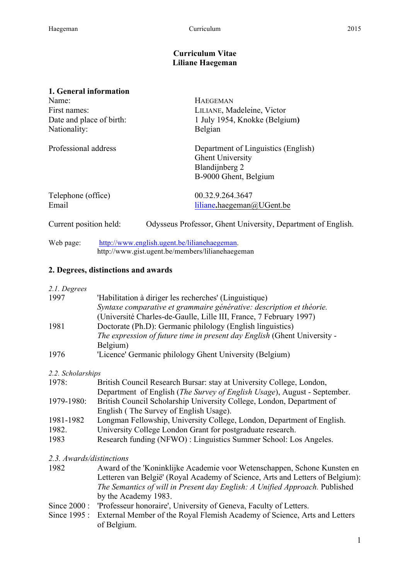### **Curriculum Vitae Liliane Haegeman**

#### **1. General information**

| Name:                    | <b>HAEGEMAN</b>                                                                                           |
|--------------------------|-----------------------------------------------------------------------------------------------------------|
| First names:             | LILIANE, Madeleine, Victor                                                                                |
| Date and place of birth: | 1 July 1954, Knokke (Belgium)                                                                             |
| Nationality:             | Belgian                                                                                                   |
| Professional address     | Department of Linguistics (English)<br><b>Ghent University</b><br>Blandijnberg 2<br>B-9000 Ghent, Belgium |
| Telephone (office)       | 00.32.9.264.3647                                                                                          |
| Email                    | liliane.haegeman@UGent.be                                                                                 |
| Current position held:   | Odysseus Professor, Ghent University, Department of English.                                              |
| Web page:                | http://www.english.ugent.be/lilianehaegeman.<br>http://www.gist.ugent.be/members/lilianehaegeman          |

### **2. Degrees, distinctions and awards**

*2.1. Degrees*

| 1997 | 'Habilitation à diriger les recherches' (Linguistique)                   |
|------|--------------------------------------------------------------------------|
|      | Syntaxe comparative et grammaire générative: description et théorie.     |
|      | (Université Charles-de-Gaulle, Lille III, France, 7 February 1997)       |
| 1981 | Doctorate (Ph.D): Germanic philology (English linguistics)               |
|      | The expression of future time in present day English (Ghent University - |
|      | Belgium)                                                                 |
| 1976 | 'Licence' Germanic philology Ghent University (Belgium)                  |

#### *2.2. Scholarships*

| 1978:      | British Council Research Bursar: stay at University College, London,              |
|------------|-----------------------------------------------------------------------------------|
|            | Department of English ( <i>The Survey of English Usage</i> ), August - September. |
| 1979-1980: | British Council Scholarship University College, London, Department of             |
|            | English (The Survey of English Usage).                                            |
| 1981-1982  | Longman Fellowship, University College, London, Department of English.            |
| 1982.      | University College London Grant for postgraduate research.                        |
| 1983       | Research funding (NFWO) : Linguistics Summer School: Los Angeles.                 |

### *2.3. Awards/distinctions*

- 1982 Award of the 'Koninklijke Academie voor Wetenschappen, Schone Kunsten en Letteren van België' (Royal Academy of Science, Arts and Letters of Belgium): *The Semantics of will in Present day English: A Unified Approach.* Published by the Academy 1983.
- Since 2000 : 'Professeur honoraire', University of Geneva, Faculty of Letters.
- Since 1995 : External Member of the Royal Flemish Academy of Science, Arts and Letters of Belgium.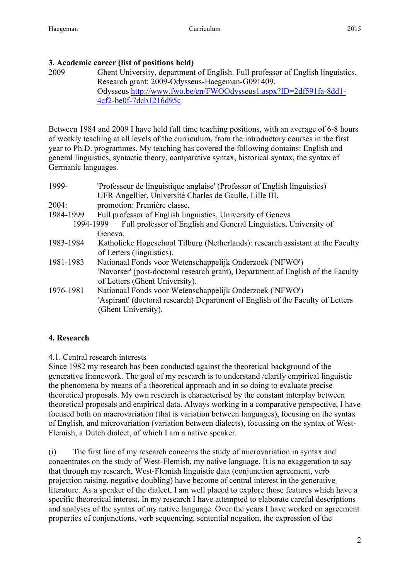## **3. Academic career (list of positions held)**

2009 Ghent University, department of English. Full professor of English linguistics. Research grant: 2009-Odysseus-Haegeman-G091409. Odysseus http://www.fwo.be/en/FWOOdysseus1.aspx?ID=2df591fa-8dd1- 4cf2-be0f-7dcb1216d95c

Between 1984 and 2009 I have held full time teaching positions, with an average of 6-8 hours of weekly teaching at all levels of the curriculum, from the introductory courses in the first year to Ph.D. programmes. My teaching has covered the following domains: English and general linguistics, syntactic theory, comparative syntax, historical syntax, the syntax of Germanic languages.

| 1999-     | 'Professeur de linguistique anglaise' (Professor of English linguistics)<br>UFR Angellier, Université Charles de Gaulle, Lille III.                                           |  |
|-----------|-------------------------------------------------------------------------------------------------------------------------------------------------------------------------------|--|
| 2004:     | promotion: Première classe.                                                                                                                                                   |  |
| 1984-1999 | Full professor of English linguistics, University of Geneva                                                                                                                   |  |
| 1994-1999 | Full professor of English and General Linguistics, University of<br>Geneva.                                                                                                   |  |
| 1983-1984 | Katholieke Hogeschool Tilburg (Netherlands): research assistant at the Faculty<br>of Letters (linguistics).                                                                   |  |
| 1981-1983 | Nationaal Fonds voor Wetenschappelijk Onderzoek ('NFWO')<br>'Navorser' (post-doctoral research grant), Department of English of the Faculty<br>of Letters (Ghent University). |  |
| 1976-1981 | Nationaal Fonds voor Wetenschappelijk Onderzoek ('NFWO')<br>'Aspirant' (doctoral research) Department of English of the Faculty of Letters<br>(Ghent University).             |  |

## **4. Research**

## 4.1. Central research interests

Since 1982 my research has been conducted against the theoretical background of the generative framework. The goal of my research is to understand /clarify empirical linguistic the phenomena by means of a theoretical approach and in so doing to evaluate precise theoretical proposals. My own research is characterised by the constant interplay between theoretical proposals and empirical data. Always working in a comparative perspective, I have focused both on macrovariation (that is variation between languages), focusing on the syntax of English, and microvariation (variation between dialects), focussing on the syntax of West-Flemish, a Dutch dialect, of which I am a native speaker.

(i) The first line of my research concerns the study of microvariation in syntax and concentrates on the study of West-Flemish, my native language. It is no exaggeration to say that through my research, West-Flemish linguistic data (conjunction agreement, verb projection raising, negative doubling) have become of central interest in the generative literature. As a speaker of the dialect, I am well placed to explore those features which have a specific theoretical interest. In my research I have attempted to elaborate careful descriptions and analyses of the syntax of my native language. Over the years I have worked on agreement properties of conjunctions, verb sequencing, sentential negation, the expression of the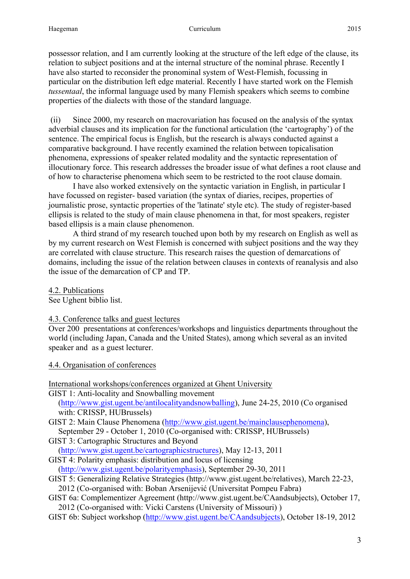possessor relation, and I am currently looking at the structure of the left edge of the clause, its relation to subject positions and at the internal structure of the nominal phrase. Recently I have also started to reconsider the pronominal system of West-Flemish, focussing in particular on the distribution left edge material. Recently I have started work on the Flemish *tussentaal*, the informal language used by many Flemish speakers which seems to combine properties of the dialects with those of the standard language.

(ii) Since 2000, my research on macrovariation has focused on the analysis of the syntax adverbial clauses and its implication for the functional articulation (the 'cartography') of the sentence. The empirical focus is English, but the research is always conducted against a comparative background. I have recently examined the relation between topicalisation phenomena, expressions of speaker related modality and the syntactic representation of illocutionary force. This research addresses the broader issue of what defines a root clause and of how to characterise phenomena which seem to be restricted to the root clause domain.

I have also worked extensively on the syntactic variation in English, in particular I have focussed on register- based variation (the syntax of diaries, recipes, properties of journalistic prose, syntactic properties of the 'latinate' style etc). The study of register-based ellipsis is related to the study of main clause phenomena in that, for most speakers, register based ellipsis is a main clause phenomenon.

A third strand of my research touched upon both by my research on English as well as by my current research on West Flemish is concerned with subject positions and the way they are correlated with clause structure. This research raises the question of demarcations of domains, including the issue of the relation between clauses in contexts of reanalysis and also the issue of the demarcation of CP and TP.

4.2. Publications

See Ughent biblio list.

### 4.3. Conference talks and guest lectures

Over 200 presentations at conferences/workshops and linguistics departments throughout the world (including Japan, Canada and the United States), among which several as an invited speaker and as a guest lecturer.

4.4. Organisation of conferences

International workshops/conferences organized at Ghent University

GIST 1: Anti-locality and Snowballing movement

(http://www.gist.ugent.be/antilocalityandsnowballing), June 24-25, 2010 (Co organised with: CRISSP, HUBrussels)

- GIST 2: Main Clause Phenomena (http://www.gist.ugent.be/mainclausephenomena), September 29 - October 1, 2010 (Co-organised with: CRISSP, HUBrussels)
- GIST 3: Cartographic Structures and Beyond

(http://www.gist.ugent.be/cartographicstructures), May 12-13, 2011

GIST 4: Polarity emphasis: distribution and locus of licensing

(http://www.gist.ugent.be/polarityemphasis), September 29-30, 2011

GIST 5: Generalizing Relative Strategies (http://www.gist.ugent.be/relatives), March 22-23,

2012 (Co-organised with: Boban Arsenijević (Universitat Pompeu Fabra)

GIST 6a: Complementizer Agreement (http://www.gist.ugent.be/CAandsubjects), October 17, 2012 (Co-organised with: Vicki Carstens (University of Missouri) )

GIST 6b: Subject workshop (http://www.gist.ugent.be/CAandsubjects), October 18-19, 2012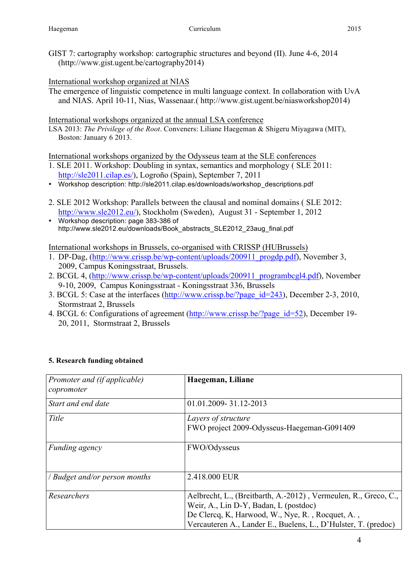GIST 7: cartography workshop: cartographic structures and beyond (II). June 4-6, 2014 (http://www.gist.ugent.be/cartography2014)

## International workshop organized at NIAS

The emergence of linguistic competence in multi language context. In collaboration with UvA and NIAS. April 10-11, Nias, Wassenaar.( http://www.gist.ugent.be/niasworkshop2014)

International workshops organized at the annual LSA conference

LSA 2013: *The Privilege of the Root*. Conveners: Liliane Haegeman & Shigeru Miyagawa (MIT), Boston: January 6 2013.

International workshops organized by the Odysseus team at the SLE conferences

- 1. SLE 2011. Workshop: Doubling in syntax, semantics and morphology ( SLE 2011: http://sle2011.cilap.es/), Logroño (Spain), September 7, 2011
- Workshop description: http://sle2011.cilap.es/downloads/workshop\_descriptions.pdf
- 2. SLE 2012 Workshop: Parallels between the clausal and nominal domains ( SLE 2012: http://www.sle2012.eu/), Stockholm (Sweden), August 31 - September 1, 2012
- Workshop description: page 383-386 of http://www.sle2012.eu/downloads/Book\_abstracts\_SLE2012\_23aug\_final.pdf

International workshops in Brussels, co-organised with CRISSP (HUBrussels)

- 1. DP-Dag, (http://www.crissp.be/wp-content/uploads/200911\_progdp.pdf), November 3, 2009, Campus Koningsstraat, Brussels.
- 2. BCGL 4, (http://www.crissp.be/wp-content/uploads/200911\_programbcgl4.pdf), November 9-10, 2009, Campus Koningsstraat - Koningsstraat 336, Brussels
- 3. BCGL 5: Case at the interfaces (http://www.crissp.be/?page\_id=243), December 2-3, 2010, Stormstraat 2, Brussels
- 4. BCGL 6: Configurations of agreement (http://www.crissp.be/?page\_id=52), December 19- 20, 2011, Stormstraat 2, Brussels

| Promoter and (if applicable)<br>copromoter | Haegeman, Liliane                                                                                                                                                                                                              |
|--------------------------------------------|--------------------------------------------------------------------------------------------------------------------------------------------------------------------------------------------------------------------------------|
| Start and end date                         | 01.01.2009-31.12-2013                                                                                                                                                                                                          |
| Title                                      | Layers of structure<br>FWO project 2009-Odysseus-Haegeman-G091409                                                                                                                                                              |
| Funding agency                             | FWO/Odysseus                                                                                                                                                                                                                   |
| Budget and/or person months                | 2.418.000 EUR                                                                                                                                                                                                                  |
| Researchers                                | Aelbrecht, L., (Breitbarth, A.-2012), Vermeulen, R., Greco, C.,<br>Weir, A., Lin D-Y, Badan, L (postdoc)<br>De Clercq, K, Harwood, W., Nye, R., Rocquet, A.,<br>Vercauteren A., Lander E., Buelens, L., D'Hulster, T. (predoc) |

### **5. Research funding obtained**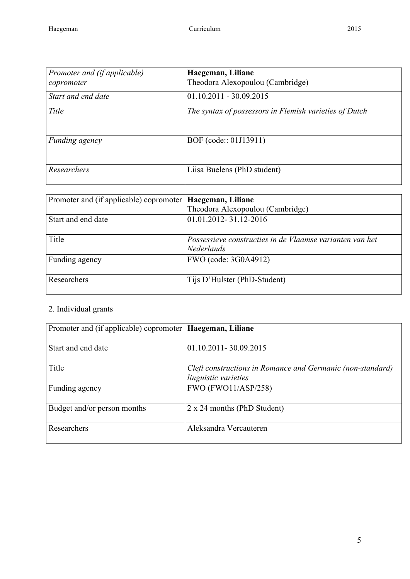| Promoter and (if applicable)<br>copromoter | Haegeman, Liliane<br>Theodora Alexopoulou (Cambridge)  |
|--------------------------------------------|--------------------------------------------------------|
| Start and end date                         | $01.10.2011 - 30.09.2015$                              |
| Title                                      | The syntax of possessors in Flemish varieties of Dutch |
| Funding agency                             | BOF (code:: 01J13911)                                  |
| Researchers                                | Liisa Buelens (PhD student)                            |

| Promoter and (if applicable) copromoter   <b>Haegeman</b> , Liliane | Theodora Alexopoulou (Cambridge)                                              |
|---------------------------------------------------------------------|-------------------------------------------------------------------------------|
| Start and end date                                                  | 01.01.2012-31.12-2016                                                         |
| Title                                                               | Possessieve constructies in de Vlaamse varianten van het<br><b>Nederlands</b> |
| Funding agency                                                      | FWO (code: 3G0A4912)                                                          |
| Researchers                                                         | Tijs D'Hulster (PhD-Student)                                                  |

# 2. Individual grants

| Promoter and (if applicable) copromoter   Haegeman, Liliane |                                                                                    |
|-------------------------------------------------------------|------------------------------------------------------------------------------------|
| Start and end date                                          | 01.10.2011-30.09.2015                                                              |
| Title                                                       | Cleft constructions in Romance and Germanic (non-standard)<br>linguistic varieties |
| Funding agency                                              | <b>FWO (FWO11/ASP/258)</b>                                                         |
| Budget and/or person months                                 | 2 x 24 months (PhD Student)                                                        |
| Researchers                                                 | Aleksandra Vercauteren                                                             |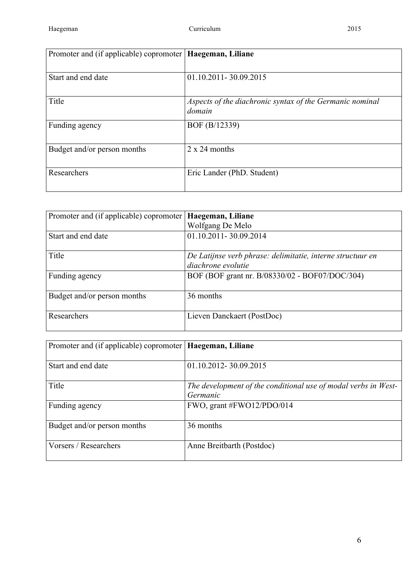| Promoter and (if applicable) copromoter   Haegeman, Liliane |                                                                    |
|-------------------------------------------------------------|--------------------------------------------------------------------|
| Start and end date                                          | 01.10.2011-30.09.2015                                              |
| Title                                                       | Aspects of the diachronic syntax of the Germanic nominal<br>domain |
| Funding agency                                              | BOF (B/12339)                                                      |
| Budget and/or person months                                 | $2 \times 24$ months                                               |
| Researchers                                                 | Eric Lander (PhD. Student)                                         |

| Promoter and (if applicable) copromoter | Haegeman, Liliane                                          |
|-----------------------------------------|------------------------------------------------------------|
|                                         | Wolfgang De Melo                                           |
| Start and end date                      | 01.10.2011-30.09.2014                                      |
|                                         |                                                            |
| Title                                   | De Latijnse verb phrase: delimitatie, interne structuur en |
|                                         | diachrone evolutie                                         |
| Funding agency                          | BOF (BOF grant nr. B/08330/02 - BOF07/DOC/304)             |
|                                         |                                                            |
| Budget and/or person months             | 36 months                                                  |
|                                         |                                                            |
| Researchers                             | Lieven Danckaert (PostDoc)                                 |
|                                         |                                                            |

| Promoter and (if applicable) copromoter   Haegeman, Liliane |                                                                            |
|-------------------------------------------------------------|----------------------------------------------------------------------------|
| Start and end date                                          | 01.10.2012-30.09.2015                                                      |
| Title                                                       | The development of the conditional use of modal verbs in West-<br>Germanic |
| Funding agency                                              | FWO, grant #FWO12/PDO/014                                                  |
| Budget and/or person months                                 | 36 months                                                                  |
| Vorsers / Researchers                                       | Anne Breitbarth (Postdoc)                                                  |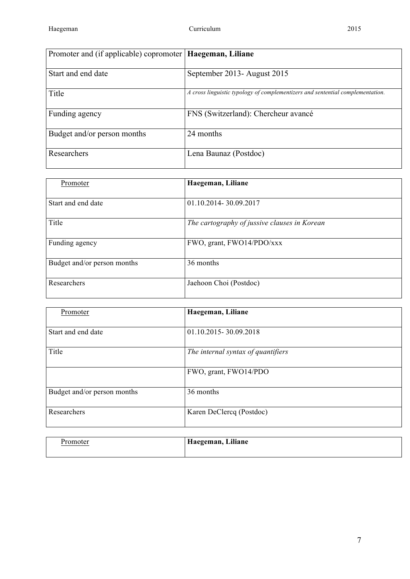| Promoter and (if applicable) copromoter   Haegeman, Liliane |                                                                                |
|-------------------------------------------------------------|--------------------------------------------------------------------------------|
| Start and end date                                          | September 2013- August 2015                                                    |
| Title                                                       | A cross linguistic typology of complementizers and sentential complementation. |
| Funding agency                                              | FNS (Switzerland): Chercheur avancé                                            |
| Budget and/or person months                                 | 24 months                                                                      |
| Researchers                                                 | Lena Baunaz (Postdoc)                                                          |

| Promoter                    | Haegeman, Liliane                            |  |
|-----------------------------|----------------------------------------------|--|
| Start and end date          | 01.10.2014-30.09.2017                        |  |
| Title                       | The cartography of jussive clauses in Korean |  |
| Funding agency              | FWO, grant, FWO14/PDO/xxx                    |  |
| Budget and/or person months | 36 months                                    |  |
| Researchers                 | Jaehoon Choi (Postdoc)                       |  |

| Promoter                    | Haegeman, Liliane                  |
|-----------------------------|------------------------------------|
| Start and end date          | 01.10.2015-30.09.2018              |
| Title                       | The internal syntax of quantifiers |
|                             | FWO, grant, FWO14/PDO              |
| Budget and/or person months | 36 months                          |
| Researchers                 | Karen DeClercq (Postdoc)           |

| romoter? | Haegeman, Liliane |
|----------|-------------------|
|          |                   |